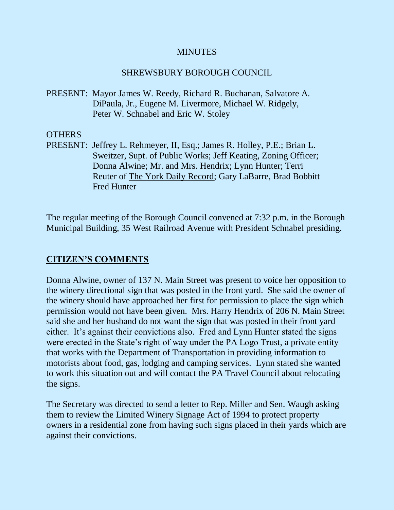#### **MINUTES**

#### SHREWSBURY BOROUGH COUNCIL

PRESENT: Mayor James W. Reedy, Richard R. Buchanan, Salvatore A. DiPaula, Jr., Eugene M. Livermore, Michael W. Ridgely, Peter W. Schnabel and Eric W. Stoley

#### **OTHERS**

PRESENT: Jeffrey L. Rehmeyer, II, Esq.; James R. Holley, P.E.; Brian L. Sweitzer, Supt. of Public Works; Jeff Keating, Zoning Officer; Donna Alwine; Mr. and Mrs. Hendrix; Lynn Hunter; Terri Reuter of The York Daily Record; Gary LaBarre, Brad Bobbitt Fred Hunter

The regular meeting of the Borough Council convened at 7:32 p.m. in the Borough Municipal Building, 35 West Railroad Avenue with President Schnabel presiding.

# **CITIZEN'S COMMENTS**

Donna Alwine, owner of 137 N. Main Street was present to voice her opposition to the winery directional sign that was posted in the front yard. She said the owner of the winery should have approached her first for permission to place the sign which permission would not have been given. Mrs. Harry Hendrix of 206 N. Main Street said she and her husband do not want the sign that was posted in their front yard either. It's against their convictions also. Fred and Lynn Hunter stated the signs were erected in the State's right of way under the PA Logo Trust, a private entity that works with the Department of Transportation in providing information to motorists about food, gas, lodging and camping services. Lynn stated she wanted to work this situation out and will contact the PA Travel Council about relocating the signs.

The Secretary was directed to send a letter to Rep. Miller and Sen. Waugh asking them to review the Limited Winery Signage Act of 1994 to protect property owners in a residential zone from having such signs placed in their yards which are against their convictions.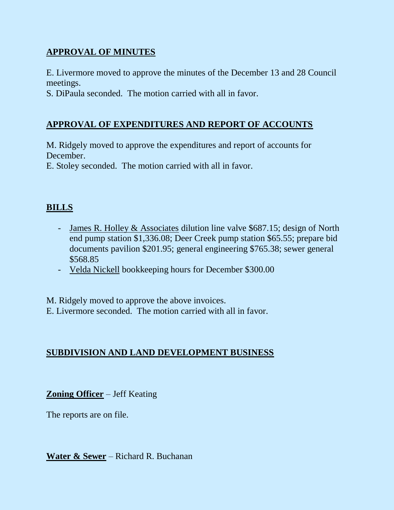# **APPROVAL OF MINUTES**

E. Livermore moved to approve the minutes of the December 13 and 28 Council meetings.

S. DiPaula seconded. The motion carried with all in favor.

# **APPROVAL OF EXPENDITURES AND REPORT OF ACCOUNTS**

M. Ridgely moved to approve the expenditures and report of accounts for December.

E. Stoley seconded. The motion carried with all in favor.

# **BILLS**

- James R. Holley & Associates dilution line valve \$687.15; design of North end pump station \$1,336.08; Deer Creek pump station \$65.55; prepare bid documents pavilion \$201.95; general engineering \$765.38; sewer general \$568.85
- Velda Nickell bookkeeping hours for December \$300.00

M. Ridgely moved to approve the above invoices. E. Livermore seconded. The motion carried with all in favor.

# **SUBDIVISION AND LAND DEVELOPMENT BUSINESS**

**Zoning Officer** – Jeff Keating

The reports are on file.

**Water & Sewer** – Richard R. Buchanan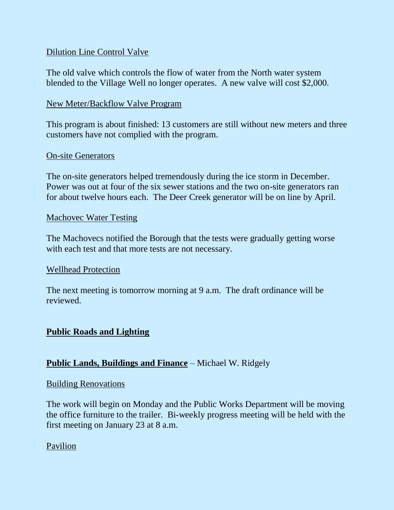## Dilution Line Control Valve

The old valve which controls the flow of water from the North water system blended to the Village Well no longer operates. A new valve will cost \$2,000.

## New Meter/Backflow Valve Program

This program is about finished: 13 customers are still without new meters and three customers have not complied with the program.

#### On-site Generators

The on-site generators helped tremendously during the ice storm in December. Power was out at four of the six sewer stations and the two on-site generators ran for about twelve hours each. The Deer Creek generator will be on line by April.

#### Machovec Water Testing

The Machovecs notified the Borough that the tests were gradually getting worse with each test and that more tests are not necessary.

#### Wellhead Protection

The next meeting is tomorrow morning at 9 a.m. The draft ordinance will be reviewed.

## **Public Roads and Lighting**

## **Public Lands, Buildings and Finance** – Michael W. Ridgely

#### Building Renovations

The work will begin on Monday and the Public Works Department will be moving the office furniture to the trailer. Bi-weekly progress meeting will be held with the first meeting on January 23 at 8 a.m.

## Pavilion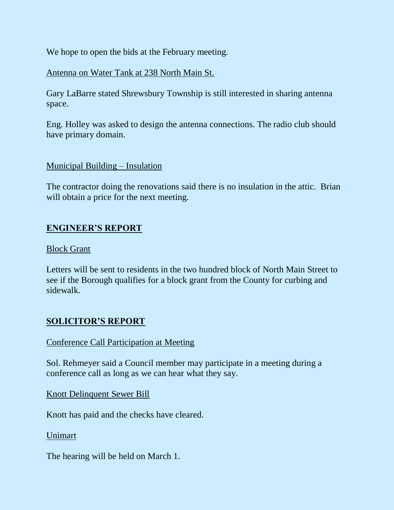We hope to open the bids at the February meeting.

# Antenna on Water Tank at 238 North Main St.

Gary LaBarre stated Shrewsbury Township is still interested in sharing antenna space.

Eng. Holley was asked to design the antenna connections. The radio club should have primary domain.

## Municipal Building – Insulation

The contractor doing the renovations said there is no insulation in the attic. Brian will obtain a price for the next meeting.

# **ENGINEER'S REPORT**

## Block Grant

Letters will be sent to residents in the two hundred block of North Main Street to see if the Borough qualifies for a block grant from the County for curbing and sidewalk.

# **SOLICITOR'S REPORT**

## Conference Call Participation at Meeting

Sol. Rehmeyer said a Council member may participate in a meeting during a conference call as long as we can hear what they say.

Knott Delinquent Sewer Bill

Knott has paid and the checks have cleared.

## Unimart

The hearing will be held on March 1.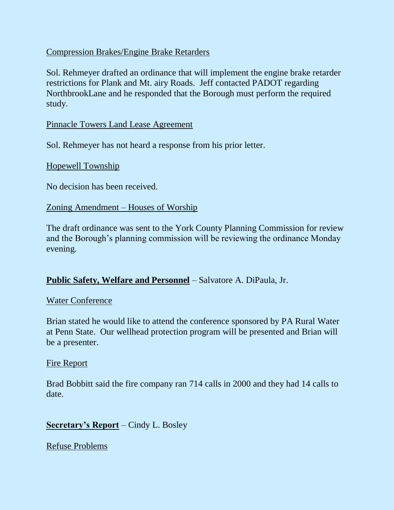## Compression Brakes/Engine Brake Retarders

Sol. Rehmeyer drafted an ordinance that will implement the engine brake retarder restrictions for Plank and Mt. airy Roads. Jeff contacted PADOT regarding NorthbrookLane and he responded that the Borough must perform the required study.

Pinnacle Towers Land Lease Agreement

Sol. Rehmeyer has not heard a response from his prior letter.

Hopewell Township

No decision has been received.

#### Zoning Amendment – Houses of Worship

The draft ordinance was sent to the York County Planning Commission for review and the Borough's planning commission will be reviewing the ordinance Monday evening.

## **Public Safety, Welfare and Personnel** – Salvatore A. DiPaula, Jr.

#### Water Conference

Brian stated he would like to attend the conference sponsored by PA Rural Water at Penn State. Our wellhead protection program will be presented and Brian will be a presenter.

#### Fire Report

Brad Bobbitt said the fire company ran 714 calls in 2000 and they had 14 calls to date.

## **Secretary's Report** – Cindy L. Bosley

Refuse Problems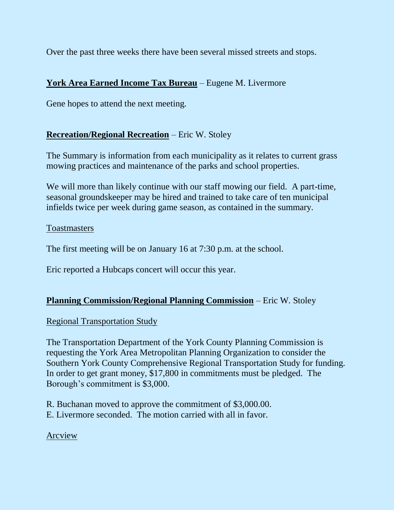Over the past three weeks there have been several missed streets and stops.

# **York Area Earned Income Tax Bureau** – Eugene M. Livermore

Gene hopes to attend the next meeting.

# **Recreation/Regional Recreation** – Eric W. Stoley

The Summary is information from each municipality as it relates to current grass mowing practices and maintenance of the parks and school properties.

We will more than likely continue with our staff mowing our field. A part-time, seasonal groundskeeper may be hired and trained to take care of ten municipal infields twice per week during game season, as contained in the summary.

## **Toastmasters**

The first meeting will be on January 16 at 7:30 p.m. at the school.

Eric reported a Hubcaps concert will occur this year.

# **Planning Commission/Regional Planning Commission** – Eric W. Stoley

## Regional Transportation Study

The Transportation Department of the York County Planning Commission is requesting the York Area Metropolitan Planning Organization to consider the Southern York County Comprehensive Regional Transportation Study for funding. In order to get grant money, \$17,800 in commitments must be pledged. The Borough's commitment is \$3,000.

R. Buchanan moved to approve the commitment of \$3,000.00. E. Livermore seconded. The motion carried with all in favor.

## Arcview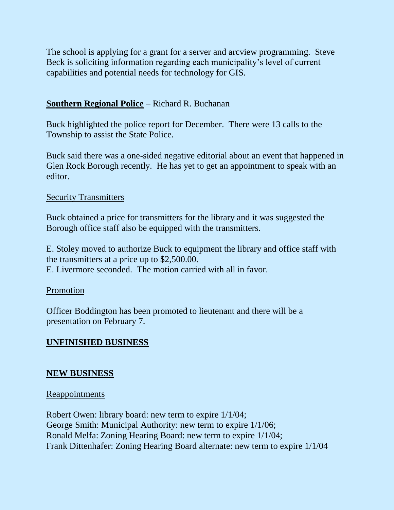The school is applying for a grant for a server and arcview programming. Steve Beck is soliciting information regarding each municipality's level of current capabilities and potential needs for technology for GIS.

## **Southern Regional Police** – Richard R. Buchanan

Buck highlighted the police report for December. There were 13 calls to the Township to assist the State Police.

Buck said there was a one-sided negative editorial about an event that happened in Glen Rock Borough recently. He has yet to get an appointment to speak with an editor.

#### Security Transmitters

Buck obtained a price for transmitters for the library and it was suggested the Borough office staff also be equipped with the transmitters.

E. Stoley moved to authorize Buck to equipment the library and office staff with the transmitters at a price up to \$2,500.00. E. Livermore seconded. The motion carried with all in favor.

## Promotion

Officer Boddington has been promoted to lieutenant and there will be a presentation on February 7.

# **UNFINISHED BUSINESS**

## **NEW BUSINESS**

#### Reappointments

Robert Owen: library board: new term to expire 1/1/04; George Smith: Municipal Authority: new term to expire 1/1/06; Ronald Melfa: Zoning Hearing Board: new term to expire 1/1/04; Frank Dittenhafer: Zoning Hearing Board alternate: new term to expire 1/1/04